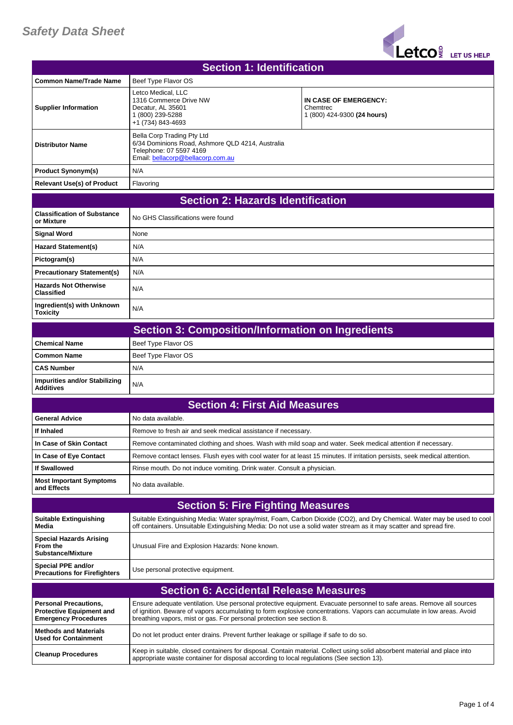## *Safety Data Sheet*



| <b>Section 1: Identification</b>                                                               |                                                                                                                                                |                                                                                                                                                                                                                                                |
|------------------------------------------------------------------------------------------------|------------------------------------------------------------------------------------------------------------------------------------------------|------------------------------------------------------------------------------------------------------------------------------------------------------------------------------------------------------------------------------------------------|
| <b>Common Name/Trade Name</b>                                                                  | Beef Type Flavor OS                                                                                                                            |                                                                                                                                                                                                                                                |
| <b>Supplier Information</b>                                                                    | Letco Medical, LLC<br>1316 Commerce Drive NW<br>Decatur, AL 35601<br>1 (800) 239-5288<br>+1 (734) 843-4693                                     | IN CASE OF EMERGENCY:<br>Chemtrec<br>1 (800) 424-9300 <b>(24 hours)</b>                                                                                                                                                                        |
| <b>Distributor Name</b>                                                                        | Bella Corp Trading Pty Ltd<br>6/34 Dominions Road, Ashmore QLD 4214, Australia<br>Telephone: 07 5597 4169<br>Email: bellacorp@bellacorp.com.au |                                                                                                                                                                                                                                                |
| <b>Product Synonym(s)</b>                                                                      | N/A                                                                                                                                            |                                                                                                                                                                                                                                                |
| <b>Relevant Use(s) of Product</b>                                                              | Flavoring                                                                                                                                      |                                                                                                                                                                                                                                                |
| <b>Section 2: Hazards Identification</b>                                                       |                                                                                                                                                |                                                                                                                                                                                                                                                |
| <b>Classification of Substance</b><br>or Mixture                                               | No GHS Classifications were found                                                                                                              |                                                                                                                                                                                                                                                |
| <b>Signal Word</b>                                                                             | None                                                                                                                                           |                                                                                                                                                                                                                                                |
| <b>Hazard Statement(s)</b>                                                                     | N/A                                                                                                                                            |                                                                                                                                                                                                                                                |
| Pictogram(s)                                                                                   | N/A                                                                                                                                            |                                                                                                                                                                                                                                                |
| <b>Precautionary Statement(s)</b>                                                              | N/A                                                                                                                                            |                                                                                                                                                                                                                                                |
| <b>Hazards Not Otherwise</b><br><b>Classified</b>                                              | N/A                                                                                                                                            |                                                                                                                                                                                                                                                |
| Ingredient(s) with Unknown<br>Toxicity                                                         | N/A                                                                                                                                            |                                                                                                                                                                                                                                                |
|                                                                                                | <b>Section 3: Composition/Information on Ingredients</b>                                                                                       |                                                                                                                                                                                                                                                |
| <b>Chemical Name</b>                                                                           | Beef Type Flavor OS                                                                                                                            |                                                                                                                                                                                                                                                |
| <b>Common Name</b>                                                                             | Beef Type Flavor OS                                                                                                                            |                                                                                                                                                                                                                                                |
| <b>CAS Number</b>                                                                              | N/A                                                                                                                                            |                                                                                                                                                                                                                                                |
| <b>Impurities and/or Stabilizing</b><br><b>Additives</b>                                       | N/A                                                                                                                                            |                                                                                                                                                                                                                                                |
|                                                                                                | <b>Section 4: First Aid Measures</b>                                                                                                           |                                                                                                                                                                                                                                                |
| <b>General Advice</b>                                                                          | No data available.                                                                                                                             |                                                                                                                                                                                                                                                |
| If Inhaled                                                                                     | Remove to fresh air and seek medical assistance if necessary.                                                                                  |                                                                                                                                                                                                                                                |
| In Case of Skin Contact                                                                        | Remove contaminated clothing and shoes. Wash with mild soap and water. Seek medical attention if necessary.                                    |                                                                                                                                                                                                                                                |
| In Case of Eye Contact                                                                         |                                                                                                                                                | Remove contact lenses. Flush eyes with cool water for at least 15 minutes. If irritation persists, seek medical attention.                                                                                                                     |
| <b>If Swallowed</b>                                                                            | Rinse mouth. Do not induce vomiting. Drink water. Consult a physician.                                                                         |                                                                                                                                                                                                                                                |
| <b>Most Important Symptoms</b><br>and Effects                                                  | No data available.                                                                                                                             |                                                                                                                                                                                                                                                |
|                                                                                                | <b>Section 5: Fire Fighting Measures</b>                                                                                                       |                                                                                                                                                                                                                                                |
| <b>Suitable Extinguishing</b><br>Media                                                         | off containers. Unsuitable Extinguishing Media: Do not use a solid water stream as it may scatter and spread fire.                             | Suitable Extinguishing Media: Water spray/mist, Foam, Carbon Dioxide (CO2), and Dry Chemical. Water may be used to cool                                                                                                                        |
| <b>Special Hazards Arising</b><br>From the<br><b>Substance/Mixture</b>                         | Unusual Fire and Explosion Hazards: None known.                                                                                                |                                                                                                                                                                                                                                                |
| Special PPE and/or<br><b>Precautions for Firefighters</b>                                      | Use personal protective equipment.                                                                                                             |                                                                                                                                                                                                                                                |
|                                                                                                | <b>Section 6: Accidental Release Measures</b>                                                                                                  |                                                                                                                                                                                                                                                |
| <b>Personal Precautions,</b><br><b>Protective Equipment and</b><br><b>Emergency Procedures</b> | breathing vapors, mist or gas. For personal protection see section 8.                                                                          | Ensure adequate ventilation. Use personal protective equipment. Evacuate personnel to safe areas. Remove all sources<br>of ignition. Beware of vapors accumulating to form explosive concentrations. Vapors can accumulate in low areas. Avoid |
| <b>Methods and Materials</b><br><b>Used for Containment</b>                                    | Do not let product enter drains. Prevent further leakage or spillage if safe to do so.                                                         |                                                                                                                                                                                                                                                |
| <b>Cleanup Procedures</b>                                                                      | appropriate waste container for disposal according to local regulations (See section 13).                                                      | Keep in suitable, closed containers for disposal. Contain material. Collect using solid absorbent material and place into                                                                                                                      |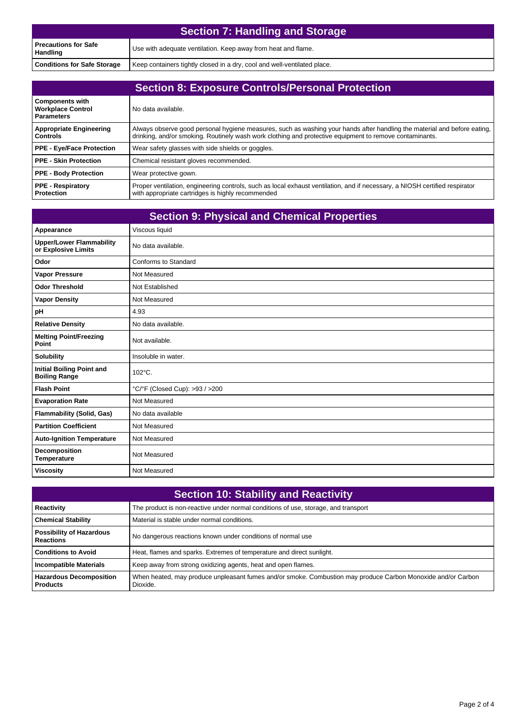| <b>Section 7: Handling and Storage</b> |                                                                          |
|----------------------------------------|--------------------------------------------------------------------------|
| l Precautions for Safe<br>Handling     | Use with adequate ventilation. Keep away from heat and flame.            |
| <b>Conditions for Safe Storage</b>     | Keep containers tightly closed in a dry, cool and well-ventilated place. |

| <b>Section 8: Exposure Controls/Personal Protection</b>                 |                                                                                                                                                                                                                                     |
|-------------------------------------------------------------------------|-------------------------------------------------------------------------------------------------------------------------------------------------------------------------------------------------------------------------------------|
| <b>Components with</b><br><b>Workplace Control</b><br><b>Parameters</b> | No data available.                                                                                                                                                                                                                  |
| <b>Appropriate Engineering</b><br><b>Controls</b>                       | Always observe good personal hygiene measures, such as washing your hands after handling the material and before eating,<br>drinking, and/or smoking. Routinely wash work clothing and protective equipment to remove contaminants. |
| <b>PPE - Eye/Face Protection</b>                                        | Wear safety glasses with side shields or goggles.                                                                                                                                                                                   |
| <b>PPE - Skin Protection</b>                                            | Chemical resistant gloves recommended.                                                                                                                                                                                              |
| <b>PPE - Body Protection</b>                                            | Wear protective gown.                                                                                                                                                                                                               |
| <b>PPE - Respiratory</b><br>Protection                                  | Proper ventilation, engineering controls, such as local exhaust ventilation, and if necessary, a NIOSH certified respirator<br>with appropriate cartridges is highly recommended                                                    |

| <b>Section 9: Physical and Chemical Properties</b>       |                                |
|----------------------------------------------------------|--------------------------------|
| Appearance                                               | Viscous liquid                 |
| <b>Upper/Lower Flammability</b><br>or Explosive Limits   | No data available.             |
| Odor                                                     | Conforms to Standard           |
| <b>Vapor Pressure</b>                                    | Not Measured                   |
| <b>Odor Threshold</b>                                    | Not Established                |
| <b>Vapor Density</b>                                     | Not Measured                   |
| pH                                                       | 4.93                           |
| <b>Relative Density</b>                                  | No data available.             |
| <b>Melting Point/Freezing</b><br>Point                   | Not available.                 |
| <b>Solubility</b>                                        | Insoluble in water.            |
| <b>Initial Boiling Point and</b><br><b>Boiling Range</b> | $102^{\circ}$ C.               |
| <b>Flash Point</b>                                       | °C/°F (Closed Cup): >93 / >200 |
| <b>Evaporation Rate</b>                                  | Not Measured                   |
| <b>Flammability (Solid, Gas)</b>                         | No data available              |
| <b>Partition Coefficient</b>                             | Not Measured                   |
| <b>Auto-Ignition Temperature</b>                         | Not Measured                   |
| Decomposition<br><b>Temperature</b>                      | Not Measured                   |
| <b>Viscosity</b>                                         | Not Measured                   |

| <b>Section 10: Stability and Reactivity</b>         |                                                                                                                          |
|-----------------------------------------------------|--------------------------------------------------------------------------------------------------------------------------|
| Reactivity                                          | The product is non-reactive under normal conditions of use, storage, and transport                                       |
| <b>Chemical Stability</b>                           | Material is stable under normal conditions.                                                                              |
| <b>Possibility of Hazardous</b><br><b>Reactions</b> | No dangerous reactions known under conditions of normal use                                                              |
| <b>Conditions to Avoid</b>                          | Heat, flames and sparks. Extremes of temperature and direct sunlight.                                                    |
| <b>Incompatible Materials</b>                       | Keep away from strong oxidizing agents, heat and open flames.                                                            |
| <b>Hazardous Decomposition</b><br><b>Products</b>   | When heated, may produce unpleasant fumes and/or smoke. Combustion may produce Carbon Monoxide and/or Carbon<br>Dioxide. |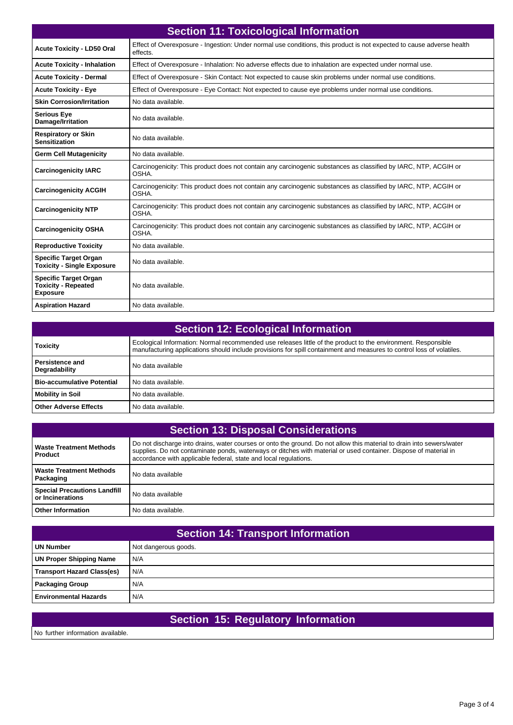| <b>Section 11: Toxicological Information</b>                                  |                                                                                                                                   |  |
|-------------------------------------------------------------------------------|-----------------------------------------------------------------------------------------------------------------------------------|--|
| <b>Acute Toxicity - LD50 Oral</b>                                             | Effect of Overexposure - Ingestion: Under normal use conditions, this product is not expected to cause adverse health<br>effects. |  |
| <b>Acute Toxicity - Inhalation</b>                                            | Effect of Overexposure - Inhalation: No adverse effects due to inhalation are expected under normal use.                          |  |
| <b>Acute Toxicity - Dermal</b>                                                | Effect of Overexposure - Skin Contact: Not expected to cause skin problems under normal use conditions.                           |  |
| <b>Acute Toxicity - Eye</b>                                                   | Effect of Overexposure - Eye Contact: Not expected to cause eye problems under normal use conditions.                             |  |
| <b>Skin Corrosion/Irritation</b>                                              | No data available.                                                                                                                |  |
| <b>Serious Eye</b><br>Damage/Irritation                                       | No data available.                                                                                                                |  |
| <b>Respiratory or Skin</b><br><b>Sensitization</b>                            | No data available.                                                                                                                |  |
| <b>Germ Cell Mutagenicity</b>                                                 | No data available.                                                                                                                |  |
| <b>Carcinogenicity IARC</b>                                                   | Carcinogenicity: This product does not contain any carcinogenic substances as classified by IARC, NTP, ACGIH or<br>OSHA.          |  |
| <b>Carcinogenicity ACGIH</b>                                                  | Carcinogenicity: This product does not contain any carcinogenic substances as classified by IARC, NTP, ACGIH or<br>OSHA.          |  |
| <b>Carcinogenicity NTP</b>                                                    | Carcinogenicity: This product does not contain any carcinogenic substances as classified by IARC, NTP, ACGIH or<br>OSHA.          |  |
| <b>Carcinogenicity OSHA</b>                                                   | Carcinogenicity: This product does not contain any carcinogenic substances as classified by IARC, NTP, ACGIH or<br>OSHA.          |  |
| <b>Reproductive Toxicity</b>                                                  | No data available.                                                                                                                |  |
| <b>Specific Target Organ</b><br><b>Toxicity - Single Exposure</b>             | No data available.                                                                                                                |  |
| <b>Specific Target Organ</b><br><b>Toxicity - Repeated</b><br><b>Exposure</b> | No data available.                                                                                                                |  |
| <b>Aspiration Hazard</b>                                                      | No data available.                                                                                                                |  |

| <b>Section 12: Ecological Information</b> |                                                                                                                                                                                                                                        |
|-------------------------------------------|----------------------------------------------------------------------------------------------------------------------------------------------------------------------------------------------------------------------------------------|
| Toxicity                                  | Ecological Information: Normal recommended use releases little of the product to the environment. Responsible<br>manufacturing applications should include provisions for spill containment and measures to control loss of volatiles. |
| <b>Persistence and</b><br>Degradability   | No data available                                                                                                                                                                                                                      |
| Bio-accumulative Potential                | No data available.                                                                                                                                                                                                                     |
| <b>Mobility in Soil</b>                   | No data available.                                                                                                                                                                                                                     |
| Other Adverse Effects                     | No data available.                                                                                                                                                                                                                     |

| <b>Section 13: Disposal Considerations</b>              |                                                                                                                                                                                                                                                                                                               |
|---------------------------------------------------------|---------------------------------------------------------------------------------------------------------------------------------------------------------------------------------------------------------------------------------------------------------------------------------------------------------------|
| <b>Waste Treatment Methods</b><br>Product               | Do not discharge into drains, water courses or onto the ground. Do not allow this material to drain into sewers/water<br>supplies. Do not contaminate ponds, waterways or ditches with material or used container. Dispose of material in<br>accordance with applicable federal, state and local regulations. |
| <b>Waste Treatment Methods</b><br>Packaging             | No data available                                                                                                                                                                                                                                                                                             |
| <b>Special Precautions Landfill</b><br>or Incinerations | No data available                                                                                                                                                                                                                                                                                             |
| <b>Other Information</b>                                | No data available.                                                                                                                                                                                                                                                                                            |

| Section 14: Transport Information |                      |
|-----------------------------------|----------------------|
| <b>UN Number</b>                  | Not dangerous goods. |
| <b>UN Proper Shipping Name</b>    | N/A                  |
| <b>Transport Hazard Class(es)</b> | N/A                  |
| <b>Packaging Group</b>            | N/A                  |
| <b>Environmental Hazards</b>      | N/A                  |

|                                   | Section 15: Regulatory Information |  |
|-----------------------------------|------------------------------------|--|
| No further information available. |                                    |  |